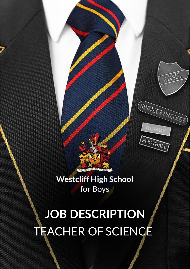

HOUSE

**SUBJECT PREFECT** 

**RUGB** 

FOOTBALL

**Westcliff High School** for Boys

**JOB DESCRIPTION** TEACHER OF SCIENCE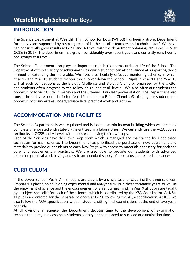## **Westcliff High School for Boys**



### **INTRODUCTION**

The Science Department at Westcliff High School for Boys (WHSB) has been a strong Department for many years supported by a strong team of both specialist teachers and technical staff. We have had consistently good results at GCSE and A Level, with the department obtaining 90% Level 7- 9 at GCSE in 2019. The department has grown considerably over recent years and currently runs twenty one groups at A Level.

The Science Department also plays an important role in the extra-curricular life of the School. The Department offers a variety of additional clubs which students can attend, aimed at supporting those in need or extending the more able. We have a particularly effective mentoring scheme, in which Year 12 and Year 13 students mentor those lower down the School. Pupils in Year 11 and Year 13 will sit such competitions as the Biology Challenge and Biology Olympiad organised by the UKBC, and students often progress to the follow-on rounds at all levels. We also offer our students the opportunity to visit CERN in Geneva and the Sizewell B nuclear power station. The Department also runs a three-day residential trip for Year 12 students to Bristol ChemLabS, offering our students the opportunity to undertake undergraduate level practical work and lectures.

## **ACCOMMODATION AND FACILITIES**

The Science Department is well-equipped and is located within its own building which was recently completely renovated with state-of-the-art teaching laboratories. We currently use the AQA course textbooks at GCSE and A Level, with pupils each having their own copy.

Each of the Sciences have their own prep room which is managed and maintained by a dedicated technician for each science. The Department has prioritised the purchase of new equipment and materials to provide our students at each Key Stage with access to materials necessary for both the core, and supplementary practicals. We are also able to provide our students with advanced extension practical work having access to an abundant supply of apparatus and related appliances.

## **CURRICULUM**

In the Lower School (Years 7 – 9), pupils are taught by a single teacher covering the three sciences. Emphasis is placed on developing experimental and analytical skills in these formative years as well as the enjoyment of science and the encouragement of an enquiring mind. In Year 9 all pupils are taught by a subject specialist for each of the sciences which is coordinated by the KS3 Coordinator. At KS4, all pupils are entered for the separate sciences at GCSE following the AQA specification. At KS5 we also follow the AQA specification, with all students sitting final examinations at the end of two years of study.

At all divisions in Science, the Department devotes time to the development of examination technique and regularly assesses students so they are best placed to succeed at examination time.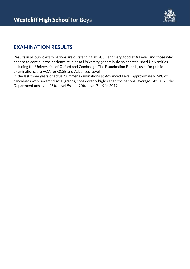

## **EXAMINATION RESULTS**

Results in all public examinations are outstanding at GCSE and very good at A Level, and those who choose to continue their science studies at University generally do so at established Universities, including the Universities of Oxford and Cambridge. The Examination Boards, used for public examinations, are AQA for GCSE and Advanced Level.

In the last three years of actual Summer examinations at Advanced Level, approximately 74% of candidates were awarded A\*-B grades, considerably higher than the national average. At GCSE, the Department achieved 45% Level 9s and 90% Level 7 – 9 in 2019.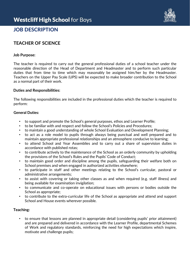

## **JOB DESCRIPTION**

### **TEACHER OF SCIENCE**

#### **Job Purpose:**

The teacher is required to carry out the general professional duties of a school teacher under the reasonable direction of the Head of Department and Headmaster and to perform such particular duties that from time to time which may reasonably be assigned him/her by the Headmaster. Teachers on the Upper Pay Scale (UPS) will be expected to make broader contribution to the School as a normal part of their work.

#### **Duties and Responsibilities:**

The following responsibilities are included in the professional duties which the teacher is required to perform:

#### **General Duties:**

- to support and promote the School's general purposes, ethos and Learner Profile;
- to be familiar with and respect and follow the School's Policies and Procedures;
- to maintain a good understanding of whole School Evaluation and Development Planning;
- to act as a role model to pupils through always being punctual and well prepared and to maintain appropriate professional relationships and an atmosphere conducive to learning;
- to attend School and Year Assemblies and to carry out a share of supervision duties in accordance with published rotas;
- to contribute actively to the maintenance of the School as an orderly community by upholding the provisions of the School's Rules and the Pupils' Code of Conduct;
- to maintain good order and discipline among the pupils, safeguarding their welfare both on School premises and when engaged in authorized activities elsewhere;
- to participate in staff and other meetings relating to the School's curricular, pastoral or administrative arrangements;
- to assist with covering or taking other classes as and when required (e.g. staff illness) and being available for examination invigilation;
- to communicate and co-operate on educational issues with persons or bodies outside the School as appropriate;
- to contribute to the extra-curricular life of the School as appropriate and attend and support School and House events wherever possible.

#### **Teaching:**

• to ensure that lessons are planned in appropriate detail (considering pupils' prior attainment) and are prepared and delivered in accordance with the Learner Profile, departmental Schemes of Work and regulatory standards, reinforcing the need for high expectations which inspire, motivate and challenge pupils;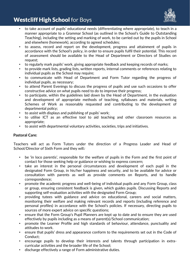## **Westcliff High School for Boys**



- to take account of pupils' educational needs (differentiating where appropriate), to teach in a manner appropriate to a Grammar School (as outlined in the School's Guide to Outstanding Teaching), including the setting and marking of work, to be carried out by the pupils in School and elsewhere (homework), according to agreed schedules;
- to assess, record and report on the development, progress and attainment of pupils in accordance with the School's policy, in order to ensure pupils fulfil their potential. This record of assessment should be available to the Head of Department or Directors of Studies on request;
- to regularly mark pupils' work, giving appropriate feedback and keeping records of marks;
- to provide mark lists, grading lists, written reports, internal comments or references relating to individual pupils as the School may require;
- to communicate with Head of Department and Form Tutor regarding the progress of individual pupils, as necessary;
- to attend Parent Evenings to discuss the progress of pupils and use such occasions to offer constructive advice on what pupils need to do to improve their progress;
- to participate, within the guidelines laid down by the Head of Department, in the evaluation and development of appropriate methods of teaching, syllabuses and materials, writing Schemes of Work as reasonably requested and contributing to the development of departmental policy;
- to assist with displays and publishing of pupils' work;
- to utilise ICT as an effective tool to aid teaching and other classroom resources as appropriate;
- to assist with departmental voluntary activities, societies, trips and initiatives.

#### **Pastoral Care:**

Teachers will act as Form Tutors under the direction of a Progress Leader and Head of School/Director of Sixth Form and they will**:** 

- be 'in loco parentis', responsible for the welfare of pupils in the Form and the first point of contact for those seeking help or guidance or wishing to express concern;
- take an interest in the personal circumstances and development of each pupil in the designated Form Group, in his/her happiness and security, and to be available for advice or consultation with parents as well as provide comments on Reports, and to handle correspondence;
- promote the academic progress and well-being of individual pupils and any Form Group, class or group, ensuring consistent feedback is given, which guides pupils. Discussing Reports and supporting self-evaluation activities with the designated Form Group;
- providing tutees with guidance and advice on educational, careers and social matters, monitoring their welfare and making relevant records and reports (including reference and personal profiles) in accordance with the School's policies. If necessary, directing pupils to sources of more expert advice on specific questions;
- ensure that the Form Group's Pupil Planners are kept up to date and to ensure they are used effectively by pupils including as a means of parent(s)/School communication;
- promote the Learner Profile and high standards of behaviour, attendance, punctuality and attitudes to work.
- ensure that pupils' dress and appearance conform to the requirements set out in the Code of Conduct;
- encourage pupils to develop their interests and talents through participation in extracurricular activities and the broader life of the School;
- discharge effectively a range of Form administrative duties.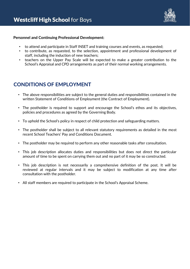

#### **Personnel and Continuing Professional Development:**

- to attend and participate in Staff INSET and training courses and events, as requested;
- to contribute, as requested, to the selection, appointment and professional development of staff, including the induction of new teachers;
- teachers on the Upper Pay Scale will be expected to make a greater contribution to the School's Appraisal and CPD arrangements as part of their normal working arrangements.

## **CONDITIONS OF EMPLOYMENT**

- The above responsibilities are subject to the general duties and responsibilities contained in the written Statement of Conditions of Employment (the Contract of Employment).
- The postholder is required to support and encourage the School's ethos and its objectives, policies and procedures as agreed by the Governing Body.
- To uphold the School's policy in respect of child protection and safeguarding matters.
- The postholder shall be subject to all relevant statutory requirements as detailed in the most recent School Teachers' Pay and Conditions Document.
- The postholder may be required to perform any other reasonable tasks after consultation.
- This job description allocates duties and responsibilities but does not direct the particular amount of time to be spent on carrying them out and no part of it may be so constructed.
- This job description is not necessarily a comprehensive definition of the post. It will be reviewed at regular intervals and it may be subject to modification at any time after consultation with the postholder.
- All staff members are required to participate in the School's Appraisal Scheme.